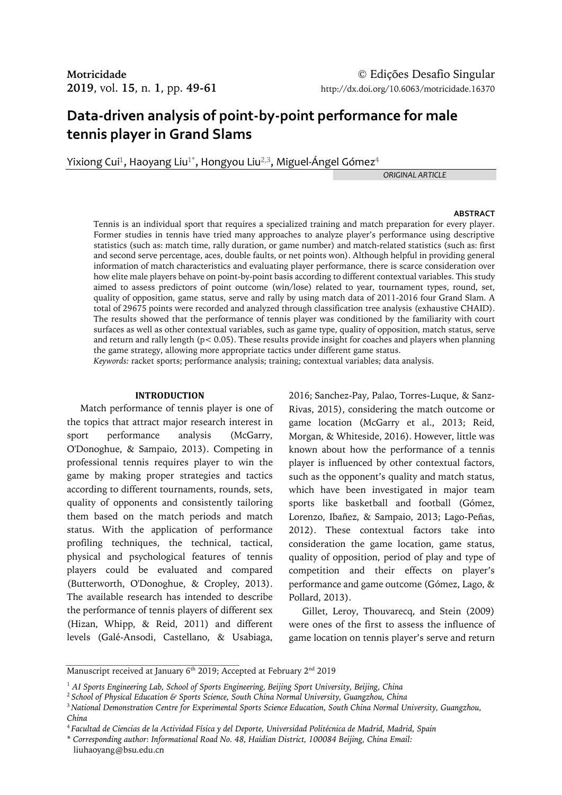# **Data-driven analysis of point-by-point performance for male tennis player in Grand Slams**

Yixiong Cui $^1$ , Haoyang Liu $^{1^\ast}$ , Hongyou Liu $^{2,3}$ , Miguel-Ángel Gómez $^4$ 

*ORIGINAL ARTICLE*

#### **ABSTRACT**

Tennis is an individual sport that requires a specialized training and match preparation for every player. Former studies in tennis have tried many approaches to analyze player's performance using descriptive statistics (such as: match time, rally duration, or game number) and match-related statistics (such as: first and second serve percentage, aces, double faults, or net points won). Although helpful in providing general information of match characteristics and evaluating player performance, there is scarce consideration over how elite male players behave on point-by-point basis according to different contextual variables. This study aimed to assess predictors of point outcome (win/lose) related to year, tournament types, round, set, quality of opposition, game status, serve and rally by using match data of 2011-2016 four Grand Slam. A total of 29675 points were recorded and analyzed through classification tree analysis (exhaustive CHAID). The results showed that the performance of tennis player was conditioned by the familiarity with court surfaces as well as other contextual variables, such as game type, quality of opposition, match status, serve and return and rally length ( $p < 0.05$ ). These results provide insight for coaches and players when planning the game strategy, allowing more appropriate tactics under different game status. *Keywords:* racket sports; performance analysis; training; contextual variables; data analysis.

## **INTRODUCTION**

Match performance of tennis player is one of the topics that attract major research interest in sport performance analysis (McGarry, O'Donoghue, & Sampaio, 2013). Competing in professional tennis requires player to win the game by making proper strategies and tactics according to different tournaments, rounds, sets, quality of opponents and consistently tailoring them based on the match periods and match status. With the application of performance profiling techniques, the technical, tactical, physical and psychological features of tennis players could be evaluated and compared (Butterworth, O'Donoghue, & Cropley, 2013). The available research has intended to describe the performance of tennis players of different sex (Hizan, Whipp, & Reid, 2011) and different levels (Galé-Ansodi, Castellano, & Usabiaga, 2016; Sanchez-Pay, Palao, Torres-Luque, & Sanz-Rivas, 2015), considering the match outcome or game location (McGarry et al., 2013; Reid, Morgan, & Whiteside, 2016). However, little was known about how the performance of a tennis player is influenced by other contextual factors, such as the opponent's quality and match status, which have been investigated in major team sports like basketball and football (Gómez, Lorenzo, Ibañez, & Sampaio, 2013; Lago-Peñas, 2012). These contextual factors take into consideration the game location, game status, quality of opposition, period of play and type of competition and their effects on player's performance and game outcome (Gómez, Lago, & Pollard, 2013).

Gillet, Leroy, Thouvarecq, and Stein (2009) were ones of the first to assess the influence of game location on tennis player's serve and return

Manuscript received at January 6<sup>th</sup> 2019; Accepted at February 2<sup>nd</sup> 2019

<sup>&</sup>lt;sup>1</sup> AI Sports Engineering Lab, School of Sports Engineering, Beijing Sport University, Beijing, China

<sup>2</sup>*School of Physical Education & Sports Science, South China Normal University, Guangzhou, China*

<sup>3</sup>*National Demonstration Centre for Experimental Sports Science Education, South China Normal University, Guangzhou, China*

<sup>4</sup>*Facultad de Ciencias de la Actividad Física y del Deporte, Universidad Politécnica de Madrid, Madrid, Spain*

<sup>\*</sup> *Corresponding author*: *Informational Road No. 48, Haidian District, 100084 Beijing, China Email:*

liuhaoyang@bsu.edu.cn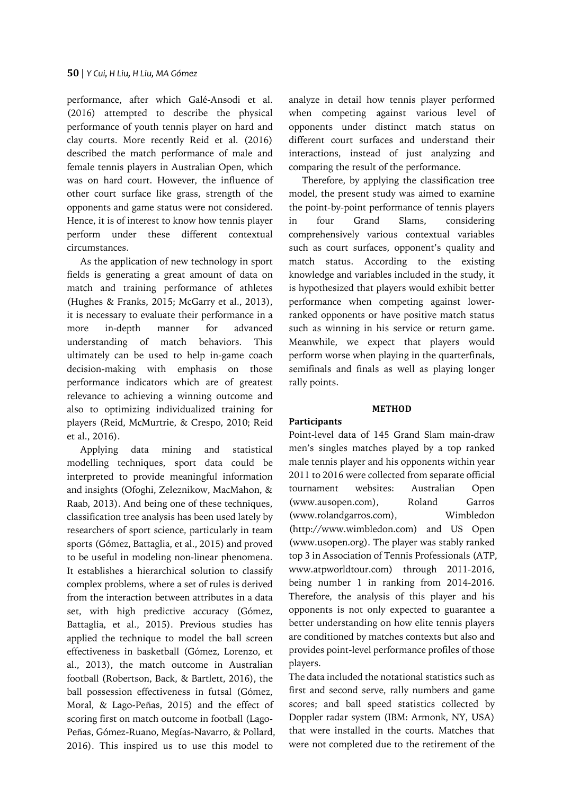performance, after which Galé-Ansodi et al. (2016) attempted to describe the physical performance of youth tennis player on hard and clay courts. More recently Reid et al. (2016) described the match performance of male and female tennis players in Australian Open, which was on hard court. However, the influence of other court surface like grass, strength of the opponents and game status were not considered. Hence, it is of interest to know how tennis player perform under these different contextual circumstances.

As the application of new technology in sport fields is generating a great amount of data on match and training performance of athletes (Hughes & Franks, 2015; McGarry et al., 2013), it is necessary to evaluate their performance in a more in-depth manner for advanced understanding of match behaviors. This ultimately can be used to help in-game coach decision-making with emphasis on those performance indicators which are of greatest relevance to achieving a winning outcome and also to optimizing individualized training for players (Reid, McMurtrie, & Crespo, 2010; Reid et al., 2016).

Applying data mining and statistical modelling techniques, sport data could be interpreted to provide meaningful information and insights (Ofoghi, Zeleznikow, MacMahon, & Raab, 2013). And being one of these techniques, classification tree analysis has been used lately by researchers of sport science, particularly in team sports (Gómez, Battaglia, et al., 2015) and proved to be useful in modeling non-linear phenomena. It establishes a hierarchical solution to classify complex problems, where a set of rules is derived from the interaction between attributes in a data set, with high predictive accuracy (Gómez, Battaglia, et al., 2015). Previous studies has applied the technique to model the ball screen effectiveness in basketball (Gómez, Lorenzo, et al., 2013), the match outcome in Australian football (Robertson, Back, & Bartlett, 2016), the ball possession effectiveness in futsal (Gómez, Moral, & Lago-Peñas, 2015) and the effect of scoring first on match outcome in football (Lago-Peñas, Gómez-Ruano, Megías-Navarro, & Pollard, 2016). This inspired us to use this model to analyze in detail how tennis player performed when competing against various level of opponents under distinct match status on different court surfaces and understand their interactions, instead of just analyzing and comparing the result of the performance.

Therefore, by applying the classification tree model, the present study was aimed to examine the point-by-point performance of tennis players in four Grand Slams, considering comprehensively various contextual variables such as court surfaces, opponent's quality and match status. According to the existing knowledge and variables included in the study, it is hypothesized that players would exhibit better performance when competing against lowerranked opponents or have positive match status such as winning in his service or return game. Meanwhile, we expect that players would perform worse when playing in the quarterfinals, semifinals and finals as well as playing longer rally points.

# **METHOD**

# **Participants**

Point-level data of 145 Grand Slam main-draw men's singles matches played by a top ranked male tennis player and his opponents within year 2011 to 2016 were collected from separate official tournament websites: Australian Open (www.ausopen.com), Roland Garros (www.rolandgarros.com), Wimbledon (http://www.wimbledon.com) and US Open (www.usopen.org). The player was stably ranked top 3 in Association of Tennis Professionals (ATP, www.atpworldtour.com) through 2011-2016, being number 1 in ranking from 2014-2016. Therefore, the analysis of this player and his opponents is not only expected to guarantee a better understanding on how elite tennis players are conditioned by matches contexts but also and provides point-level performance profiles of those players.

The data included the notational statistics such as first and second serve, rally numbers and game scores; and ball speed statistics collected by Doppler radar system (IBM: Armonk, NY, USA) that were installed in the courts. Matches that were not completed due to the retirement of the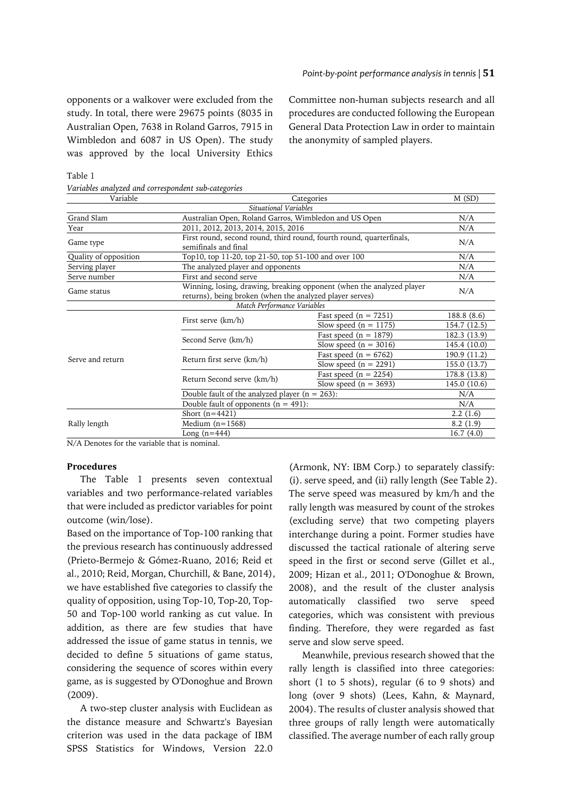opponents or a walkover were excluded from the study. In total, there were 29675 points (8035 in Australian Open, 7638 in Roland Garros, 7915 in Wimbledon and 6087 in US Open). The study was approved by the local University Ethics

Committee non-human subjects research and all procedures are conducted following the European General Data Protection Law in order to maintain the anonymity of sampled players.

Table 1 *Variables analyzed and correspondent sub-categories*

| Variable                                           | Categories                                                                                                                        | M(SD)                                                                |              |  |  |  |  |
|----------------------------------------------------|-----------------------------------------------------------------------------------------------------------------------------------|----------------------------------------------------------------------|--------------|--|--|--|--|
|                                                    | Situational Variables                                                                                                             |                                                                      |              |  |  |  |  |
| Grand Slam                                         | Australian Open, Roland Garros, Wimbledon and US Open<br>N/A                                                                      |                                                                      |              |  |  |  |  |
| Year                                               | 2011, 2012, 2013, 2014, 2015, 2016                                                                                                | N/A                                                                  |              |  |  |  |  |
| Game type                                          | semifinals and final                                                                                                              | First round, second round, third round, fourth round, quarterfinals, | N/A          |  |  |  |  |
| Quality of opposition                              | Top10, top 11-20, top 21-50, top 51-100 and over 100                                                                              | N/A                                                                  |              |  |  |  |  |
|                                                    | The analyzed player and opponents                                                                                                 | N/A                                                                  |              |  |  |  |  |
| Serve number                                       | First and second serve                                                                                                            |                                                                      |              |  |  |  |  |
| Game status                                        | Winning, losing, drawing, breaking opponent (when the analyzed player<br>returns), being broken (when the analyzed player serves) | N/A                                                                  |              |  |  |  |  |
|                                                    | Match Performance Variables                                                                                                       |                                                                      |              |  |  |  |  |
|                                                    |                                                                                                                                   | Fast speed $(n = 7251)$                                              | 188.8 (8.6)  |  |  |  |  |
|                                                    | First serve (km/h)                                                                                                                | Slow speed $(n = 1175)$                                              | 154.7 (12.5) |  |  |  |  |
|                                                    |                                                                                                                                   | Fast speed $(n = 1879)$                                              | 182.3 (13.9) |  |  |  |  |
| Serving player<br>Serve and return<br>Rally length | Second Serve (km/h)                                                                                                               | Slow speed $(n = 3016)$                                              | 145.4 (10.0) |  |  |  |  |
|                                                    |                                                                                                                                   | Fast speed ( $n = 6762$ )                                            | 190.9 (11.2) |  |  |  |  |
|                                                    | Return first serve (km/h)                                                                                                         | Slow speed $(n = 2291)$                                              | 155.0 (13.7) |  |  |  |  |
|                                                    |                                                                                                                                   | Fast speed ( $n = 2254$ )                                            | 178.8 (13.8) |  |  |  |  |
|                                                    | Return Second serve (km/h)                                                                                                        | Slow speed ( $n = 3693$ )                                            | 145.0 (10.6) |  |  |  |  |
|                                                    | Double fault of the analyzed player $(n = 263)$ :                                                                                 | N/A                                                                  |              |  |  |  |  |
|                                                    | Double fault of opponents $(n = 491)$ :                                                                                           | N/A                                                                  |              |  |  |  |  |
|                                                    | Short $(n=4421)$                                                                                                                  | 2.2(1.6)                                                             |              |  |  |  |  |
|                                                    | Medium $(n=1568)$                                                                                                                 | 8.2(1.9)                                                             |              |  |  |  |  |
|                                                    | Long $(n=444)$                                                                                                                    |                                                                      | 16.7(4.0)    |  |  |  |  |

N/A Denotes for the variable that is nominal.

# **Procedures**

The Table 1 presents seven contextual variables and two performance-related variables that were included as predictor variables for point outcome (win/lose).

Based on the importance of Top-100 ranking that the previous research has continuously addressed (Prieto-Bermejo & Gómez-Ruano, 2016; Reid et al., 2010; Reid, Morgan, Churchill, & Bane, 2014), we have established five categories to classify the quality of opposition, using Top-10, Top-20, Top-50 and Top-100 world ranking as cut value. In addition, as there are few studies that have addressed the issue of game status in tennis, we decided to define 5 situations of game status, considering the sequence of scores within every game, as is suggested by O'Donoghue and Brown (2009).

A two-step cluster analysis with Euclidean as the distance measure and Schwartz's Bayesian criterion was used in the data package of IBM SPSS Statistics for Windows, Version 22.0

(Armonk, NY: IBM Corp.) to separately classify: (i). serve speed, and (ii) rally length (See Table 2). The serve speed was measured by km/h and the rally length was measured by count of the strokes (excluding serve) that two competing players interchange during a point. Former studies have discussed the tactical rationale of altering serve speed in the first or second serve (Gillet et al., 2009; Hizan et al., 2011; O'Donoghue & Brown, 2008), and the result of the cluster analysis automatically classified two serve speed categories, which was consistent with previous finding. Therefore, they were regarded as fast serve and slow serve speed.

Meanwhile, previous research showed that the rally length is classified into three categories: short (1 to 5 shots), regular (6 to 9 shots) and long (over 9 shots) (Lees, Kahn, & Maynard, 2004). The results of cluster analysis showed that three groups of rally length were automatically classified. The average number of each rally group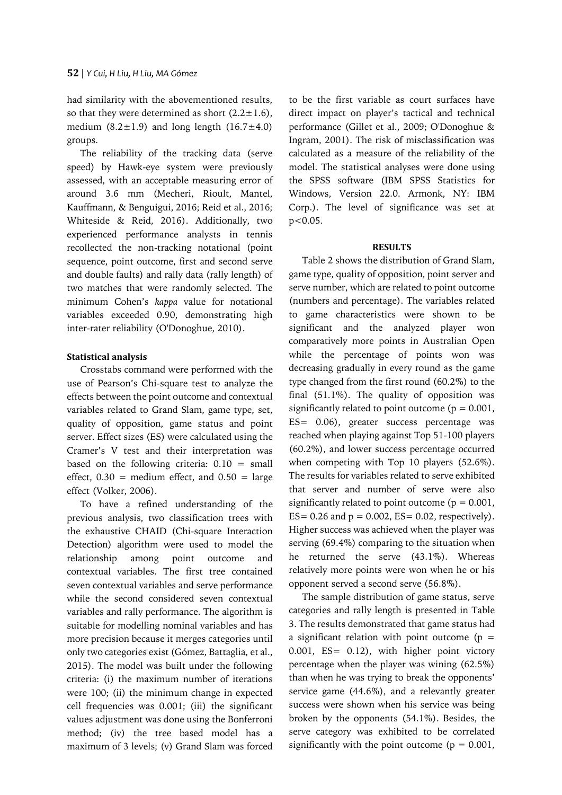had similarity with the abovementioned results, so that they were determined as short  $(2.2 \pm 1.6)$ , medium  $(8.2 \pm 1.9)$  and long length  $(16.7 \pm 4.0)$ groups.

The reliability of the tracking data (serve speed) by Hawk-eye system were previously assessed, with an acceptable measuring error of around 3.6 mm (Mecheri, Rioult, Mantel, Kauffmann, & Benguigui, 2016; Reid et al., 2016; Whiteside & Reid, 2016). Additionally, two experienced performance analysts in tennis recollected the non-tracking notational (point sequence, point outcome, first and second serve and double faults) and rally data (rally length) of two matches that were randomly selected. The minimum Cohen's *kappa* value for notational variables exceeded 0.90, demonstrating high inter-rater reliability (O'Donoghue, 2010).

# **Statistical analysis**

Crosstabs command were performed with the use of Pearson's Chi-square test to analyze the effects between the point outcome and contextual variables related to Grand Slam, game type, set, quality of opposition, game status and point server. Effect sizes (ES) were calculated using the Cramer's V test and their interpretation was based on the following criteria:  $0.10 = \text{small}$ effect,  $0.30$  = medium effect, and  $0.50$  = large effect (Volker, 2006).

To have a refined understanding of the previous analysis, two classification trees with the exhaustive CHAID (Chi-square Interaction Detection) algorithm were used to model the relationship among point outcome and contextual variables. The first tree contained seven contextual variables and serve performance while the second considered seven contextual variables and rally performance. The algorithm is suitable for modelling nominal variables and has more precision because it merges categories until only two categories exist (Gómez, Battaglia, et al., 2015). The model was built under the following criteria: (i) the maximum number of iterations were 100; (ii) the minimum change in expected cell frequencies was 0.001; (iii) the significant values adjustment was done using the Bonferroni method; (iv) the tree based model has a maximum of 3 levels; (v) Grand Slam was forced

to be the first variable as court surfaces have direct impact on player's tactical and technical performance (Gillet et al., 2009; O'Donoghue & Ingram, 2001). The risk of misclassification was calculated as a measure of the reliability of the model. The statistical analyses were done using the SPSS software (IBM SPSS Statistics for Windows, Version 22.0. Armonk, NY: IBM Corp.). The level of significance was set at p<0.05.

#### **RESULTS**

Table 2 shows the distribution of Grand Slam, game type, quality of opposition, point server and serve number, which are related to point outcome (numbers and percentage). The variables related to game characteristics were shown to be significant and the analyzed player won comparatively more points in Australian Open while the percentage of points won was decreasing gradually in every round as the game type changed from the first round (60.2%) to the final (51.1%). The quality of opposition was significantly related to point outcome ( $p = 0.001$ , ES= 0.06), greater success percentage was reached when playing against Top 51-100 players (60.2%), and lower success percentage occurred when competing with Top 10 players (52.6%). The results for variables related to serve exhibited that server and number of serve were also significantly related to point outcome ( $p = 0.001$ ,  $ES = 0.26$  and  $p = 0.002$ ,  $ES = 0.02$ , respectively). Higher success was achieved when the player was serving (69.4%) comparing to the situation when he returned the serve (43.1%). Whereas relatively more points were won when he or his opponent served a second serve (56.8%).

The sample distribution of game status, serve categories and rally length is presented in Table 3. The results demonstrated that game status had a significant relation with point outcome ( $p =$ 0.001, ES= 0.12), with higher point victory percentage when the player was wining (62.5%) than when he was trying to break the opponents' service game (44.6%), and a relevantly greater success were shown when his service was being broken by the opponents (54.1%). Besides, the serve category was exhibited to be correlated significantly with the point outcome ( $p = 0.001$ ,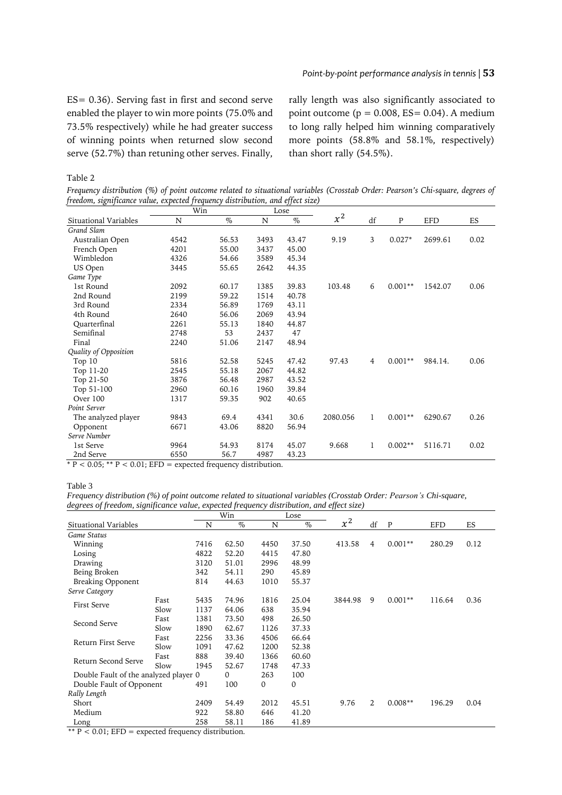### *Point-by-point performance analysis in tennis |* **53**

ES= 0.36). Serving fast in first and second serve enabled the player to win more points (75.0% and 73.5% respectively) while he had greater success of winning points when returned slow second serve (52.7%) than retuning other serves. Finally, rally length was also significantly associated to point outcome ( $p = 0.008$ ,  $ES = 0.04$ ). A medium to long rally helped him winning comparatively more points (58.8% and 58.1%, respectively) than short rally (54.5%).

Table 2

Frequency distribution (%) of point outcome related to situational variables (Crosstab Order: Pearson's Chi-square, degrees of *freedom, significance value, expected frequency distribution, and effect size)*

|                       | Win  |       | Lose |       |          |    |           |            |      |
|-----------------------|------|-------|------|-------|----------|----|-----------|------------|------|
| Situational Variables | N    | $\%$  | N    | $\%$  | $x^2$    | df | P         | <b>EFD</b> | ES   |
| Grand Slam            |      |       |      |       |          |    |           |            |      |
| Australian Open       | 4542 | 56.53 | 3493 | 43.47 | 9.19     | 3  | $0.027*$  | 2699.61    | 0.02 |
| French Open           | 4201 | 55.00 | 3437 | 45.00 |          |    |           |            |      |
| Wimbledon             | 4326 | 54.66 | 3589 | 45.34 |          |    |           |            |      |
| US Open               | 3445 | 55.65 | 2642 | 44.35 |          |    |           |            |      |
| Game Type             |      |       |      |       |          |    |           |            |      |
| 1st Round             | 2092 | 60.17 | 1385 | 39.83 | 103.48   | 6  | $0.001**$ | 1542.07    | 0.06 |
| 2nd Round             | 2199 | 59.22 | 1514 | 40.78 |          |    |           |            |      |
| 3rd Round             | 2334 | 56.89 | 1769 | 43.11 |          |    |           |            |      |
| 4th Round             | 2640 | 56.06 | 2069 | 43.94 |          |    |           |            |      |
| Quarterfinal          | 2261 | 55.13 | 1840 | 44.87 |          |    |           |            |      |
| Semifinal             | 2748 | 53    | 2437 | 47    |          |    |           |            |      |
| Final                 | 2240 | 51.06 | 2147 | 48.94 |          |    |           |            |      |
| Quality of Opposition |      |       |      |       |          |    |           |            |      |
| Top 10                | 5816 | 52.58 | 5245 | 47.42 | 97.43    | 4  | $0.001**$ | 984.14.    | 0.06 |
| Top 11-20             | 2545 | 55.18 | 2067 | 44.82 |          |    |           |            |      |
| Top 21-50             | 3876 | 56.48 | 2987 | 43.52 |          |    |           |            |      |
| Top 51-100            | 2960 | 60.16 | 1960 | 39.84 |          |    |           |            |      |
| Over 100              | 1317 | 59.35 | 902  | 40.65 |          |    |           |            |      |
| Point Server          |      |       |      |       |          |    |           |            |      |
| The analyzed player   | 9843 | 69.4  | 4341 | 30.6  | 2080.056 | 1  | $0.001**$ | 6290.67    | 0.26 |
| Opponent              | 6671 | 43.06 | 8820 | 56.94 |          |    |           |            |      |
| Serve Number          |      |       |      |       |          |    |           |            |      |
| 1st Serve             | 9964 | 54.93 | 8174 | 45.07 | 9.668    | 1  | $0.002**$ | 5116.71    | 0.02 |
| 2nd Serve             | 6550 | 56.7  | 4987 | 43.23 |          |    |           |            |      |

 $* P < 0.05$ ; \*\*  $P < 0.01$ ; EFD = expected frequency distribution.

#### Table 3

*Frequency distribution (%) of point outcome related to situational variables (Crosstab Order: Pearson's Chi-square, degrees of freedom, significance value, expected frequency distribution, and effect size)*

|                                       |      | Win<br>Lose |       |             |       |         |    |           |            |      |
|---------------------------------------|------|-------------|-------|-------------|-------|---------|----|-----------|------------|------|
| Situational Variables                 |      | N           | $\%$  | N           | $\%$  | $x^2$   | df | P         | <b>EFD</b> | ES   |
| Game Status                           |      |             |       |             |       |         |    |           |            |      |
| Winning                               |      | 7416        | 62.50 | 4450        | 37.50 | 413.58  | 4  | $0.001**$ | 280.29     | 0.12 |
| Losing                                |      | 4822        | 52.20 | 4415        | 47.80 |         |    |           |            |      |
| Drawing                               |      | 3120        | 51.01 | 2996        | 48.99 |         |    |           |            |      |
| Being Broken                          |      | 342         | 54.11 | 290         | 45.89 |         |    |           |            |      |
| Breaking Opponent                     |      | 814         | 44.63 | 1010        | 55.37 |         |    |           |            |      |
| Serve Category                        |      |             |       |             |       |         |    |           |            |      |
|                                       | Fast | 5435        | 74.96 | 1816        | 25.04 | 3844.98 | 9  | $0.001**$ | 116.64     | 0.36 |
| <b>First Serve</b>                    | Slow | 1137        | 64.06 | 638         | 35.94 |         |    |           |            |      |
|                                       | Fast | 1381        | 73.50 | 498         | 26.50 |         |    |           |            |      |
| Second Serve                          | Slow | 1890        | 62.67 | 1126        | 37.33 |         |    |           |            |      |
|                                       | Fast | 2256        | 33.36 | 4506        | 66.64 |         |    |           |            |      |
| Return First Serve                    | Slow | 1091        | 47.62 | 1200        | 52.38 |         |    |           |            |      |
| Return Second Serve                   | Fast | 888         | 39.40 | 1366        | 60.60 |         |    |           |            |      |
|                                       | Slow | 1945        | 52.67 | 1748        | 47.33 |         |    |           |            |      |
| Double Fault of the analyzed player 0 |      |             | 0     | 263         | 100   |         |    |           |            |      |
| Double Fault of Opponent              |      | 491         | 100   | $\mathbf 0$ | 0     |         |    |           |            |      |
| Rally Length                          |      |             |       |             |       |         |    |           |            |      |
| Short                                 |      | 2409        | 54.49 | 2012        | 45.51 | 9.76    | 2  | $0.008**$ | 196.29     | 0.04 |
| Medium                                |      | 922         | 58.80 | 646         | 41.20 |         |    |           |            |      |
| Long                                  |      | 258         | 58.11 | 186         | 41.89 |         |    |           |            |      |

\*\*  $P < 0.01$ ; EFD = expected frequency distribution.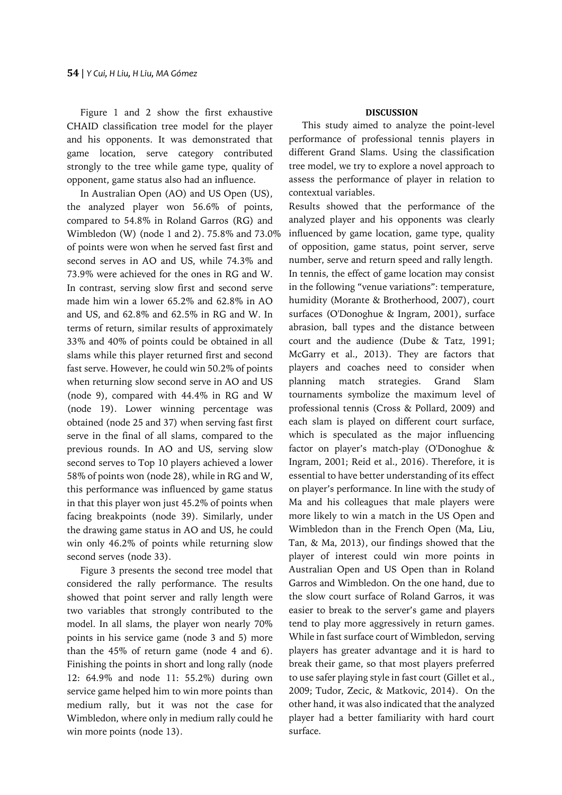Figure 1 and 2 show the first exhaustive CHAID classification tree model for the player and his opponents. It was demonstrated that game location, serve category contributed strongly to the tree while game type, quality of opponent, game status also had an influence.

In Australian Open (AO) and US Open (US), the analyzed player won 56.6% of points, compared to 54.8% in Roland Garros (RG) and Wimbledon (W) (node 1 and 2). 75.8% and 73.0% of points were won when he served fast first and second serves in AO and US, while 74.3% and 73.9% were achieved for the ones in RG and W. In contrast, serving slow first and second serve made him win a lower 65.2% and 62.8% in AO and US, and 62.8% and 62.5% in RG and W. In terms of return, similar results of approximately 33% and 40% of points could be obtained in all slams while this player returned first and second fast serve. However, he could win 50.2% of points when returning slow second serve in AO and US (node 9), compared with 44.4% in RG and W (node 19). Lower winning percentage was obtained (node 25 and 37) when serving fast first serve in the final of all slams, compared to the previous rounds. In AO and US, serving slow second serves to Top 10 players achieved a lower 58% of points won (node 28), while in RG and W, this performance was influenced by game status in that this player won just 45.2% of points when facing breakpoints (node 39). Similarly, under the drawing game status in AO and US, he could win only 46.2% of points while returning slow second serves (node 33).

Figure 3 presents the second tree model that considered the rally performance. The results showed that point server and rally length were two variables that strongly contributed to the model. In all slams, the player won nearly 70% points in his service game (node 3 and 5) more than the 45% of return game (node 4 and 6). Finishing the points in short and long rally (node 12: 64.9% and node 11: 55.2%) during own service game helped him to win more points than medium rally, but it was not the case for Wimbledon, where only in medium rally could he win more points (node 13).

### **DISCUSSION**

This study aimed to analyze the point-level performance of professional tennis players in different Grand Slams. Using the classification tree model, we try to explore a novel approach to assess the performance of player in relation to contextual variables.

Results showed that the performance of the analyzed player and his opponents was clearly influenced by game location, game type, quality of opposition, game status, point server, serve number, serve and return speed and rally length. In tennis, the effect of game location may consist in the following "venue variations": temperature, humidity (Morante & Brotherhood, 2007), court surfaces (O'Donoghue & Ingram, 2001), surface abrasion, ball types and the distance between court and the audience (Dube & Tatz, 1991; McGarry et al., 2013). They are factors that players and coaches need to consider when planning match strategies. Grand Slam tournaments symbolize the maximum level of professional tennis (Cross & Pollard, 2009) and each slam is played on different court surface, which is speculated as the major influencing factor on player's match-play (O'Donoghue & Ingram, 2001; Reid et al., 2016). Therefore, it is essential to have better understanding of its effect on player's performance. In line with the study of Ma and his colleagues that male players were more likely to win a match in the US Open and Wimbledon than in the French Open (Ma, Liu, Tan, & Ma, 2013), our findings showed that the player of interest could win more points in Australian Open and US Open than in Roland Garros and Wimbledon. On the one hand, due to the slow court surface of Roland Garros, it was easier to break to the server's game and players tend to play more aggressively in return games. While in fast surface court of Wimbledon, serving players has greater advantage and it is hard to break their game, so that most players preferred to use safer playing style in fast court (Gillet et al., 2009; Tudor, Zecic, & Matkovic, 2014). On the other hand, it was also indicated that the analyzed player had a better familiarity with hard court surface.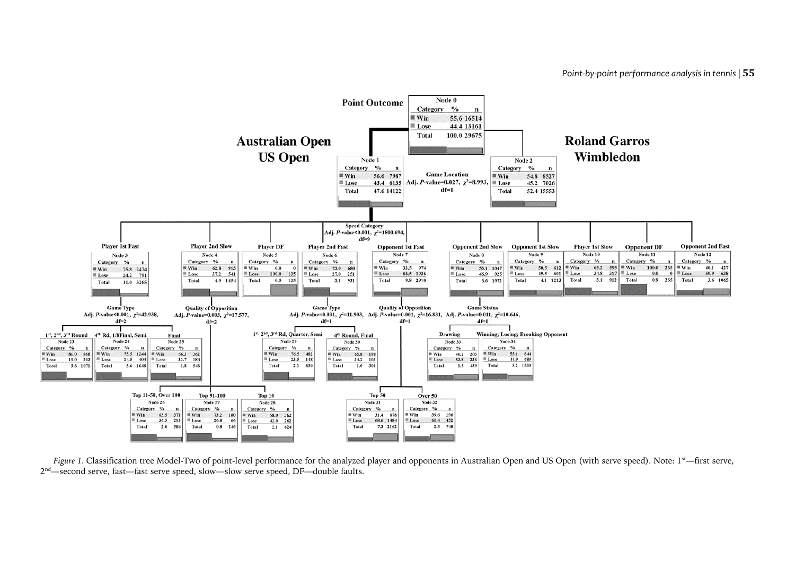

Figure 1. Classification tree Model-Two of point-level performance for the analyzed player and opponents in Australian Open and US Open (with serve speed). Note: 1<sup>st</sup>—first serve, 2<sup>nd</sup>—second serve, fast—fast serve speed, slow—slow serve speed, DF—double faults.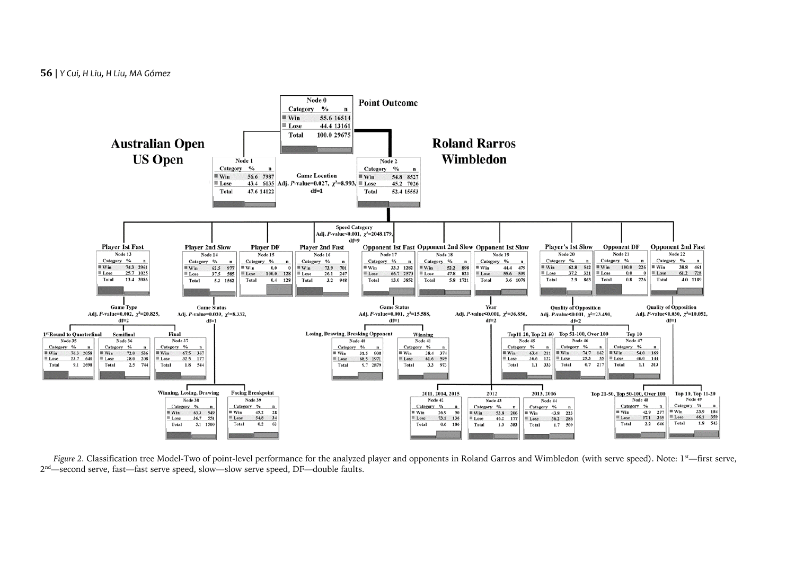# **56** | *Y Cui, H Liu, H Liu, MA Gómez*



Figure 2. Classification tree Model-Two of point-level performance for the analyzed player and opponents in Roland Garros and Wimbledon (with serve speed). Note: 1<sup>st</sup>—first serve,  $2^{\text{nd}}$ —second serve, fast—fast serve speed, slow—slow serve speed, DF—double faults.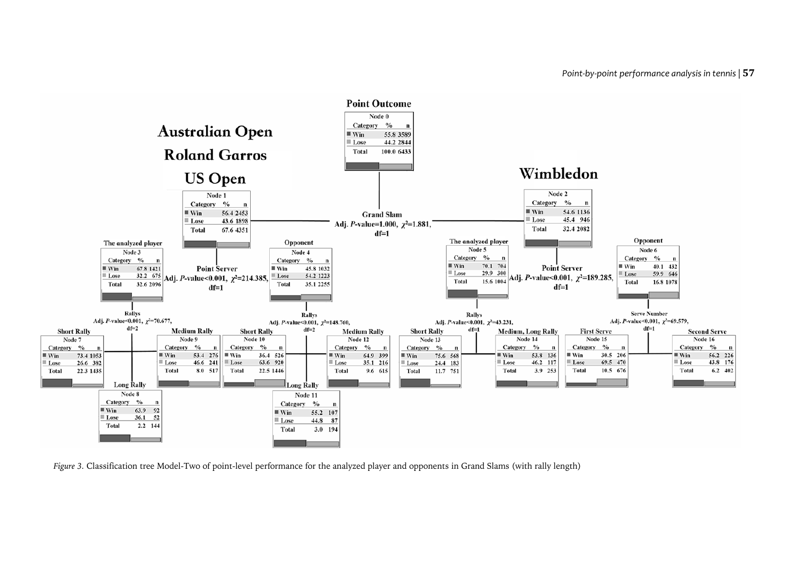

*Figure 3.* Classification tree Model-Two of point-level performance for the analyzed player and opponents in Grand Slams (with rally length)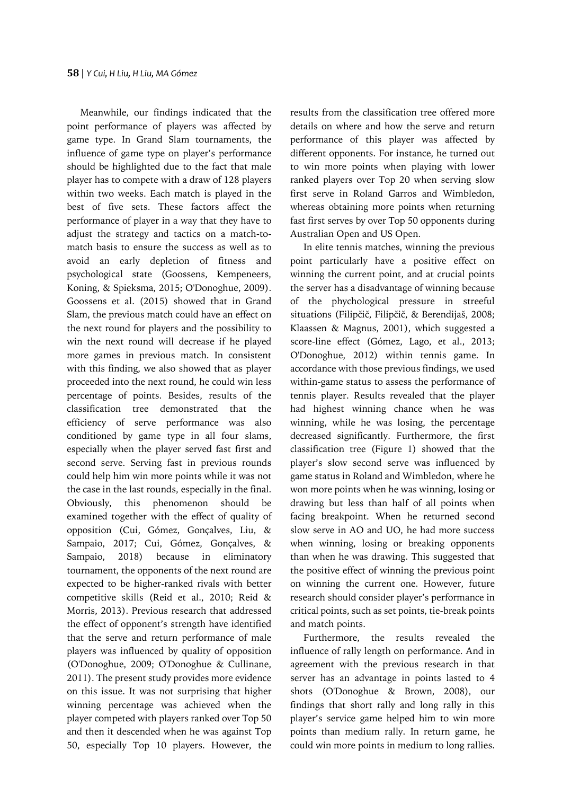Meanwhile, our findings indicated that the point performance of players was affected by game type. In Grand Slam tournaments, the influence of game type on player's performance should be highlighted due to the fact that male player has to compete with a draw of 128 players within two weeks. Each match is played in the best of five sets. These factors affect the performance of player in a way that they have to adjust the strategy and tactics on a match-tomatch basis to ensure the success as well as to avoid an early depletion of fitness and psychological state (Goossens, Kempeneers, Koning, & Spieksma, 2015; O'Donoghue, 2009). Goossens et al. (2015) showed that in Grand Slam, the previous match could have an effect on the next round for players and the possibility to win the next round will decrease if he played more games in previous match. In consistent with this finding, we also showed that as player proceeded into the next round, he could win less percentage of points. Besides, results of the classification tree demonstrated that the efficiency of serve performance was also conditioned by game type in all four slams, especially when the player served fast first and second serve. Serving fast in previous rounds could help him win more points while it was not the case in the last rounds, especially in the final. Obviously, this phenomenon should be examined together with the effect of quality of opposition (Cui, Gómez, Gonçalves, Liu, & Sampaio, 2017; Cui, Gómez, Gonçalves, & Sampaio, 2018) because in eliminatory tournament, the opponents of the next round are expected to be higher-ranked rivals with better competitive skills (Reid et al., 2010; Reid & Morris, 2013). Previous research that addressed the effect of opponent's strength have identified that the serve and return performance of male players was influenced by quality of opposition (O'Donoghue, 2009; O'Donoghue & Cullinane, 2011). The present study provides more evidence on this issue. It was not surprising that higher winning percentage was achieved when the player competed with players ranked over Top 50 and then it descended when he was against Top 50, especially Top 10 players. However, the results from the classification tree offered more details on where and how the serve and return performance of this player was affected by different opponents. For instance, he turned out to win more points when playing with lower ranked players over Top 20 when serving slow first serve in Roland Garros and Wimbledon, whereas obtaining more points when returning fast first serves by over Top 50 opponents during Australian Open and US Open.

In elite tennis matches, winning the previous point particularly have a positive effect on winning the current point, and at crucial points the server has a disadvantage of winning because of the phychological pressure in streeful situations (Filipčič, Filipčič, & Berendijaš, 2008; Klaassen & Magnus, 2001), which suggested a score-line effect (Gómez, Lago, et al., 2013; O'Donoghue, 2012) within tennis game. In accordance with those previous findings, we used within-game status to assess the performance of tennis player. Results revealed that the player had highest winning chance when he was winning, while he was losing, the percentage decreased significantly. Furthermore, the first classification tree (Figure 1) showed that the player's slow second serve was influenced by game status in Roland and Wimbledon, where he won more points when he was winning, losing or drawing but less than half of all points when facing breakpoint. When he returned second slow serve in AO and UO, he had more success when winning, losing or breaking opponents than when he was drawing. This suggested that the positive effect of winning the previous point on winning the current one. However, future research should consider player's performance in critical points, such as set points, tie-break points and match points.

Furthermore, the results revealed the influence of rally length on performance. And in agreement with the previous research in that server has an advantage in points lasted to 4 shots (O'Donoghue & Brown, 2008), our findings that short rally and long rally in this player's service game helped him to win more points than medium rally. In return game, he could win more points in medium to long rallies.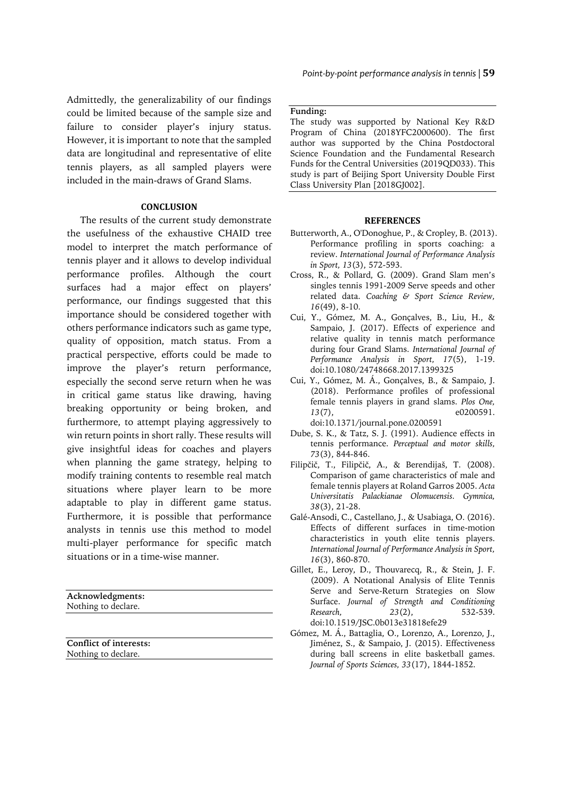Admittedly, the generalizability of our findings could be limited because of the sample size and failure to consider player's injury status. However, it is important to note that the sampled data are longitudinal and representative of elite tennis players, as all sampled players were included in the main-draws of Grand Slams.

# **CONCLUSION**

The results of the current study demonstrate the usefulness of the exhaustive CHAID tree model to interpret the match performance of tennis player and it allows to develop individual performance profiles. Although the court surfaces had a major effect on players' performance, our findings suggested that this importance should be considered together with others performance indicators such as game type, quality of opposition, match status. From a practical perspective, efforts could be made to improve the player's return performance, especially the second serve return when he was in critical game status like drawing, having breaking opportunity or being broken, and furthermore, to attempt playing aggressively to win return points in short rally. These results will give insightful ideas for coaches and players when planning the game strategy, helping to modify training contents to resemble real match situations where player learn to be more adaptable to play in different game status. Furthermore, it is possible that performance analysts in tennis use this method to model multi-player performance for specific match situations or in a time-wise manner.

**Acknowledgments:** Nothing to declare.

**Conflict of interests:** Nothing to declare.

#### **Funding:**

The study was supported by National Key R&D Program of China (2018YFC2000600). The first author was supported by the China Postdoctoral Science Foundation and the Fundamental Research Funds for the Central Universities (2019QD033). This study is part of Beijing Sport University Double First Class University Plan [2018GJ002].

#### **REFERENCES**

- Butterworth, A., O'Donoghue, P., & Cropley, B. (2013). Performance profiling in sports coaching: a review. *International Journal of Performance Analysis in Sport, 13*(3), 572-593.
- Cross, R., & Pollard, G. (2009). Grand Slam men's singles tennis 1991-2009 Serve speeds and other related data. *Coaching & Sport Science Review, 16*(49), 8-10.
- Cui, Y., Gómez, M. A., Gonçalves, B., Liu, H., & Sampaio, J. (2017). Effects of experience and relative quality in tennis match performance during four Grand Slams. *International Journal of Performance Analysis in Sport, 17*(5), 1-19. doi:10.1080/24748668.2017.1399325
- Cui, Y., Gómez, M. Á., Gonçalves, B., & Sampaio, J. (2018). Performance profiles of professional female tennis players in grand slams. *Plos One, 13*(7), e0200591. doi:10.1371/journal.pone.0200591
- Dube, S. K., & Tatz, S. J. (1991). Audience effects in tennis performance. *Perceptual and motor skills, 73*(3), 844-846.
- Filipčič, T., Filipčič, A., & Berendijaš, T. (2008). Comparison of game characteristics of male and female tennis players at Roland Garros 2005. *Acta Universitatis Palackianae Olomucensis. Gymnica, 38*(3), 21-28.
- Galé-Ansodi, C., Castellano, J., & Usabiaga, O. (2016). Effects of different surfaces in time-motion characteristics in youth elite tennis players. *International Journal of Performance Analysis in Sport, 16*(3), 860-870.
- Gillet, E., Leroy, D., Thouvarecq, R., & Stein, J. F. (2009). A Notational Analysis of Elite Tennis Serve and Serve-Return Strategies on Slow Surface. *Journal of Strength and Conditioning Research, 23*(2), 532-539. doi:10.1519/JSC.0b013e31818efe29
- Gómez, M. Á., Battaglia, O., Lorenzo, A., Lorenzo, J., Jiménez, S., & Sampaio, J. (2015). Effectiveness during ball screens in elite basketball games. *Journal of Sports Sciences, 33*(17), 1844-1852.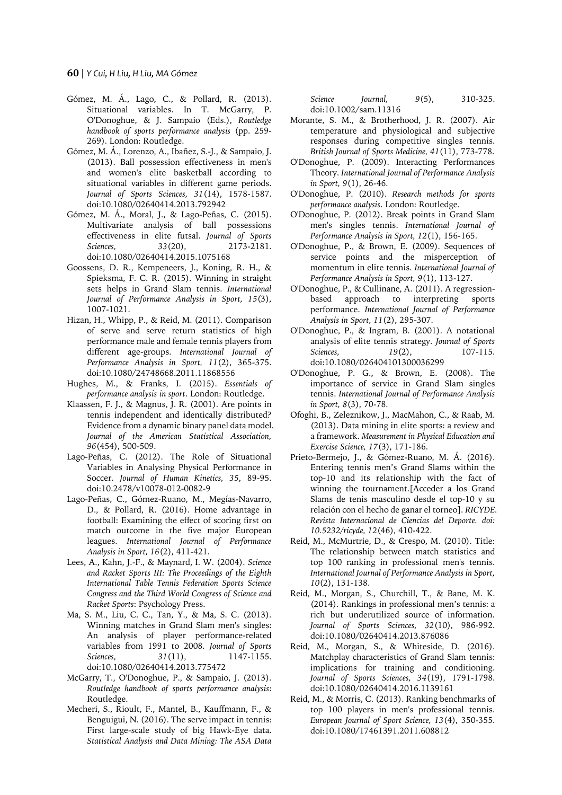#### **60** | *Y Cui, H Liu, H Liu, MA Gómez*

- Gómez, M. Á., Lago, C., & Pollard, R. (2013). Situational variables. In T. McGarry, P. O'Donoghue, & J. Sampaio (Eds.), *Routledge handbook of sports performance analysis* (pp. 259- 269). London: Routledge.
- Gómez, M. Á., Lorenzo, A., Ibañez, S.-J., & Sampaio, J. (2013). Ball possession effectiveness in men's and women's elite basketball according to situational variables in different game periods. *Journal of Sports Sciences, 31*(14), 1578-1587. doi:10.1080/02640414.2013.792942
- Gómez, M. Á., Moral, J., & Lago-Peñas, C. (2015). Multivariate analysis of ball possessions effectiveness in elite futsal. *Journal of Sports Sciences, 33*(20), 2173-2181. doi:10.1080/02640414.2015.1075168
- Goossens, D. R., Kempeneers, J., Koning, R. H., & Spieksma, F. C. R. (2015). Winning in straight sets helps in Grand Slam tennis. *International Journal of Performance Analysis in Sport, 15*(3), 1007-1021.
- Hizan, H., Whipp, P., & Reid, M. (2011). Comparison of serve and serve return statistics of high performance male and female tennis players from different age-groups. *International Journal of Performance Analysis in Sport, 11*(2), 365-375. doi:10.1080/24748668.2011.11868556
- Hughes, M., & Franks, I. (2015). *Essentials of performance analysis in sport*. London: Routledge.
- Klaassen, F. J., & Magnus, J. R. (2001). Are points in tennis independent and identically distributed? Evidence from a dynamic binary panel data model. *Journal of the American Statistical Association, 96*(454), 500-509.
- Lago-Peñas, C. (2012). The Role of Situational Variables in Analysing Physical Performance in Soccer. *Journal of Human Kinetics, 35*, 89-95. doi:10.2478/v10078-012-0082-9
- Lago-Peñas, C., Gómez-Ruano, M., Megías-Navarro, D., & Pollard, R. (2016). Home advantage in football: Examining the effect of scoring first on match outcome in the five major European leagues. *International Journal of Performance Analysis in Sport, 16*(2), 411-421.
- Lees, A., Kahn, J.-F., & Maynard, I. W. (2004). *Science and Racket Sports III: The Proceedings of the Eighth International Table Tennis Federation Sports Science Congress and the Third World Congress of Science and Racket Sports*: Psychology Press.
- Ma, S. M., Liu, C. C., Tan, Y., & Ma, S. C. (2013). Winning matches in Grand Slam men's singles: An analysis of player performance-related variables from 1991 to 2008. *Journal of Sports Sciences, 31*(11), 1147-1155. doi:10.1080/02640414.2013.775472
- McGarry, T., O'Donoghue, P., & Sampaio, J. (2013). *Routledge handbook of sports performance analysis*: Routledge.
- Mecheri, S., Rioult, F., Mantel, B., Kauffmann, F., & Benguigui, N. (2016). The serve impact in tennis: First large-scale study of big Hawk-Eye data. *Statistical Analysis and Data Mining: The ASA Data*

*Science Journal, 9*(5), 310-325. doi:10.1002/sam.11316

- Morante, S. M., & Brotherhood, J. R. (2007). Air temperature and physiological and subjective responses during competitive singles tennis. *British Journal of Sports Medicine, 41*(11), 773-778.
- O'Donoghue, P. (2009). Interacting Performances Theory. *International Journal of Performance Analysis in Sport, 9*(1), 26-46.
- O'Donoghue, P. (2010). *Research methods for sports performance analysis*. London: Routledge.
- O'Donoghue, P. (2012). Break points in Grand Slam men's singles tennis. *International Journal of Performance Analysis in Sport, 12*(1), 156-165.
- O'Donoghue, P., & Brown, E. (2009). Sequences of service points and the misperception of momentum in elite tennis. *International Journal of Performance Analysis in Sport, 9*(1), 113-127.
- O'Donoghue, P., & Cullinane, A. (2011). A regressionbased approach to interpreting sports performance. *International Journal of Performance Analysis in Sport, 11*(2), 295-307.
- O'Donoghue, P., & Ingram, B. (2001). A notational analysis of elite tennis strategy. *Journal of Sports Sciences, 19*(2), 107-115. doi:10.1080/026404101300036299
- O'Donoghue, P. G., & Brown, E. (2008). The importance of service in Grand Slam singles tennis. *International Journal of Performance Analysis in Sport, 8*(3), 70-78.
- Ofoghi, B., Zeleznikow, J., MacMahon, C., & Raab, M. (2013). Data mining in elite sports: a review and a framework. *Measurement in Physical Education and Exercise Science, 17*(3), 171-186.
- Prieto-Bermejo, J., & Gómez-Ruano, M. Á. (2016). Entering tennis men's Grand Slams within the top-10 and its relationship with the fact of winning the tournament.[Acceder a los Grand Slams de tenis masculino desde el top-10 y su relación con el hecho de ganar el torneo]. *RICYDE. Revista Internacional de Ciencias del Deporte. doi: 10.5232/ricyde, 12*(46), 410-422.
- Reid, M., McMurtrie, D., & Crespo, M. (2010). Title: The relationship between match statistics and top 100 ranking in professional men's tennis. *International Journal of Performance Analysis in Sport, 10*(2), 131-138.
- Reid, M., Morgan, S., Churchill, T., & Bane, M. K. (2014). Rankings in professional men's tennis: a rich but underutilized source of information. *Journal of Sports Sciences, 32*(10), 986-992. doi:10.1080/02640414.2013.876086
- Reid, M., Morgan, S., & Whiteside, D. (2016). Matchplay characteristics of Grand Slam tennis: implications for training and conditioning. *Journal of Sports Sciences, 34*(19), 1791-1798. doi:10.1080/02640414.2016.1139161
- Reid, M., & Morris, C. (2013). Ranking benchmarks of top 100 players in men's professional tennis. *European Journal of Sport Science, 13*(4), 350-355. doi:10.1080/17461391.2011.608812